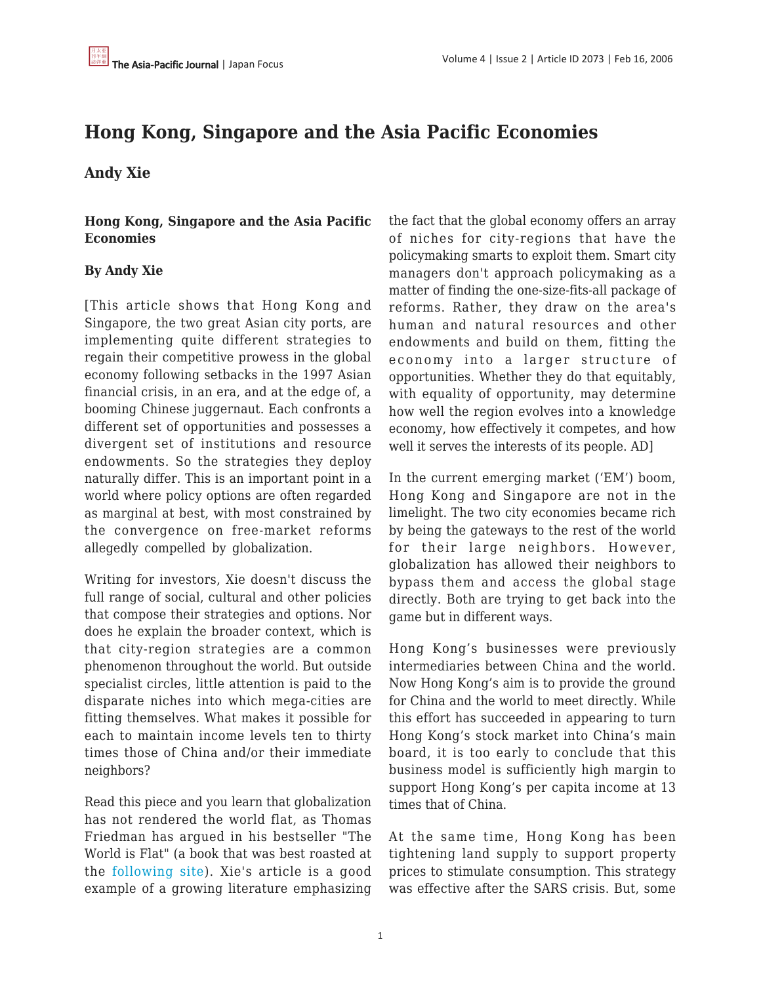# **Hong Kong, Singapore and the Asia Pacific Economies**

#### **Andy Xie**

**Hong Kong, Singapore and the Asia Pacific Economies**

#### **By Andy Xie**

[This article shows that Hong Kong and Singapore, the two great Asian city ports, are implementing quite different strategies to regain their competitive prowess in the global economy following setbacks in the 1997 Asian financial crisis, in an era, and at the edge of, a booming Chinese juggernaut. Each confronts a different set of opportunities and possesses a divergent set of institutions and resource endowments. So the strategies they deploy naturally differ. This is an important point in a world where policy options are often regarded as marginal at best, with most constrained by the convergence on free-market reforms allegedly compelled by globalization.

Writing for investors, Xie doesn't discuss the full range of social, cultural and other policies that compose their strategies and options. Nor does he explain the broader context, which is that city-region strategies are a common phenomenon throughout the world. But outside specialist circles, little attention is paid to the disparate niches into which mega-cities are fitting themselves. What makes it possible for each to maintain income levels ten to thirty times those of China and/or their immediate neighbors?

Read this piece and you learn that globalization has not rendered the world flat, as Thomas Friedman has argued in his bestseller "The World is Flat" (a book that was best roasted at the [following site\)](http://www.nypress.com/18/16/news&columns/taibbi.cfm). Xie's article is a good example of a growing literature emphasizing the fact that the global economy offers an array of niches for city-regions that have the policymaking smarts to exploit them. Smart city managers don't approach policymaking as a matter of finding the one-size-fits-all package of reforms. Rather, they draw on the area's human and natural resources and other endowments and build on them, fitting the economy into a larger structure of opportunities. Whether they do that equitably, with equality of opportunity, may determine how well the region evolves into a knowledge economy, how effectively it competes, and how well it serves the interests of its people. AD]

In the current emerging market ('EM') boom, Hong Kong and Singapore are not in the limelight. The two city economies became rich by being the gateways to the rest of the world for their large neighbors. However, globalization has allowed their neighbors to bypass them and access the global stage directly. Both are trying to get back into the game but in different ways.

Hong Kong's businesses were previously intermediaries between China and the world. Now Hong Kong's aim is to provide the ground for China and the world to meet directly. While this effort has succeeded in appearing to turn Hong Kong's stock market into China's main board, it is too early to conclude that this business model is sufficiently high margin to support Hong Kong's per capita income at 13 times that of China.

At the same time, Hong Kong has been tightening land supply to support property prices to stimulate consumption. This strategy was effective after the SARS crisis. But, some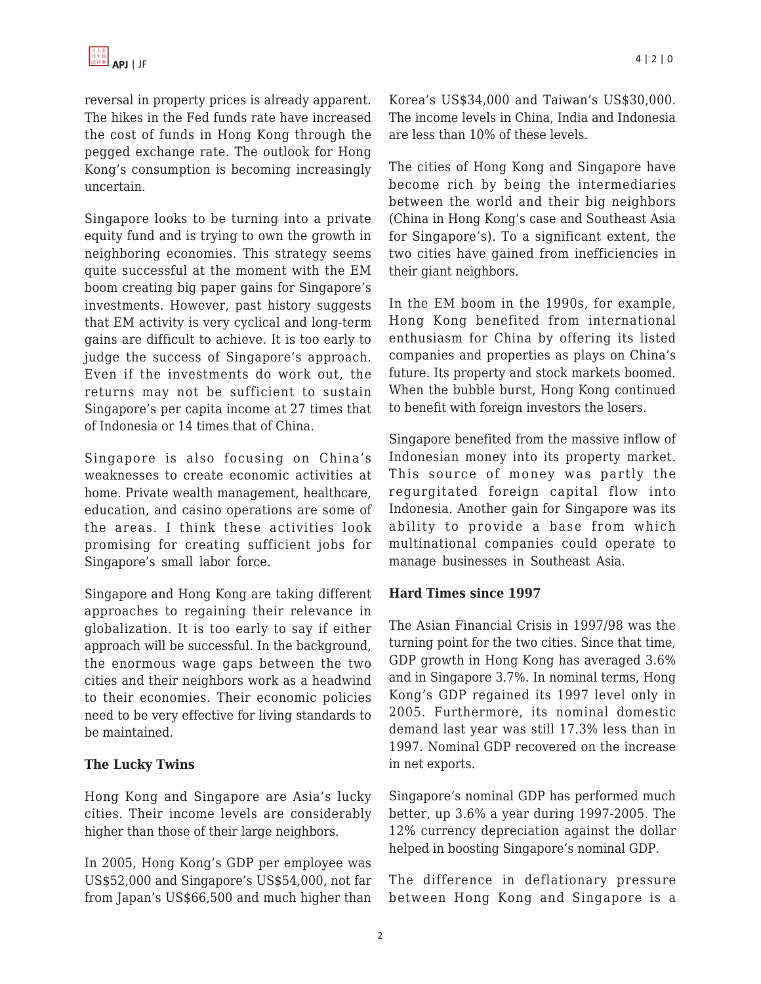reversal in property prices is already apparent. The hikes in the Fed funds rate have increased the cost of funds in Hong Kong through the pegged exchange rate. The outlook for Hong Kong's consumption is becoming increasingly uncertain.

Singapore looks to be turning into a private equity fund and is trying to own the growth in neighboring economies. This strategy seems quite successful at the moment with the EM boom creating big paper gains for Singapore's investments. However, past history suggests that EM activity is very cyclical and long-term gains are difficult to achieve. It is too early to judge the success of Singapore's approach. Even if the investments do work out, the returns may not be sufficient to sustain Singapore's per capita income at 27 times that of Indonesia or 14 times that of China.

Singapore is also focusing on China's weaknesses to create economic activities at home. Private wealth management, healthcare, education, and casino operations are some of the areas. I think these activities look promising for creating sufficient jobs for Singapore's small labor force.

Singapore and Hong Kong are taking different approaches to regaining their relevance in globalization. It is too early to say if either approach will be successful. In the background, the enormous wage gaps between the two cities and their neighbors work as a headwind to their economies. Their economic policies need to be very effective for living standards to be maintained.

#### **The Lucky Twins**

Hong Kong and Singapore are Asia's lucky cities. Their income levels are considerably higher than those of their large neighbors.

In 2005, Hong Kong's GDP per employee was US\$52,000 and Singapore's US\$54,000, not far from Japan's US\$66,500 and much higher than Korea's US\$34,000 and Taiwan's US\$30,000. The income levels in China, India and Indonesia are less than 10% of these levels.

The cities of Hong Kong and Singapore have become rich by being the intermediaries between the world and their big neighbors (China in Hong Kong's case and Southeast Asia for Singapore's). To a significant extent, the two cities have gained from inefficiencies in their giant neighbors.

In the EM boom in the 1990s, for example, Hong Kong benefited from international enthusiasm for China by offering its listed companies and properties as plays on China's future. Its property and stock markets boomed. When the bubble burst, Hong Kong continued to benefit with foreign investors the losers.

Singapore benefited from the massive inflow of Indonesian money into its property market. This source of money was partly the regurgitated foreign capital flow into Indonesia. Another gain for Singapore was its ability to provide a base from which multinational companies could operate to manage businesses in Southeast Asia.

#### **Hard Times since 1997**

The Asian Financial Crisis in 1997/98 was the turning point for the two cities. Since that time, GDP growth in Hong Kong has averaged 3.6% and in Singapore 3.7%. In nominal terms, Hong Kong's GDP regained its 1997 level only in 2005. Furthermore, its nominal domestic demand last year was still 17.3% less than in 1997. Nominal GDP recovered on the increase in net exports.

Singapore's nominal GDP has performed much better, up 3.6% a year during 1997-2005. The 12% currency depreciation against the dollar helped in boosting Singapore's nominal GDP.

The difference in deflationary pressure between Hong Kong and Singapore is a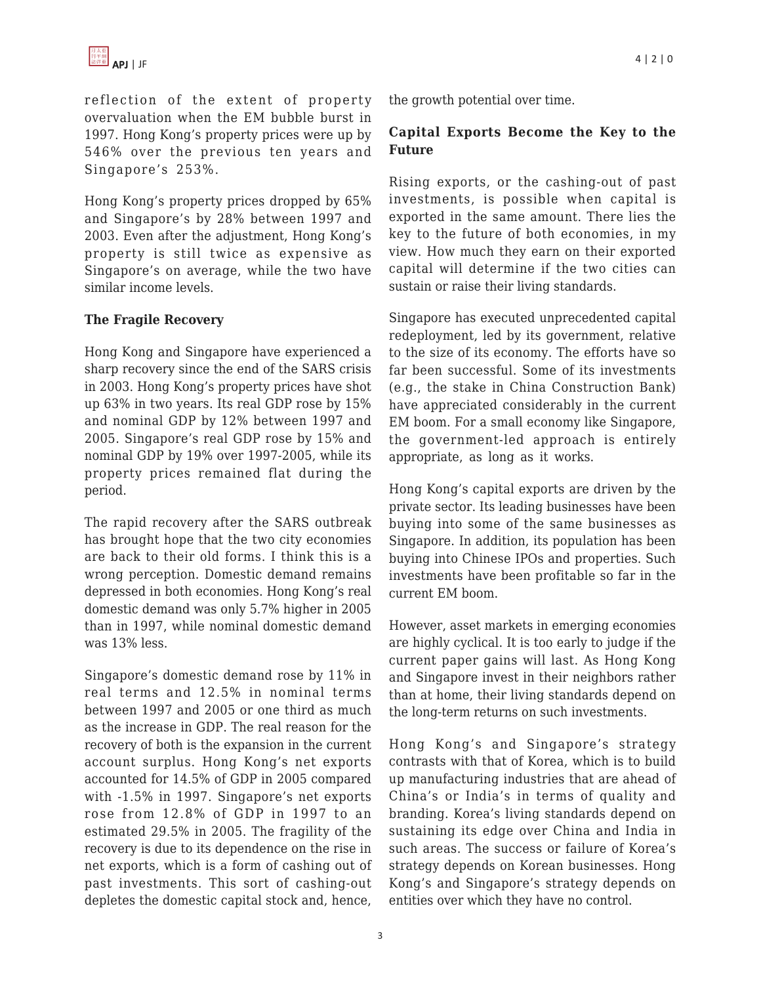reflection of the extent of property overvaluation when the EM bubble burst in 1997. Hong Kong's property prices were up by 546% over the previous ten years and Singapore's 253%.

Hong Kong's property prices dropped by 65% and Singapore's by 28% between 1997 and 2003. Even after the adjustment, Hong Kong's property is still twice as expensive as Singapore's on average, while the two have similar income levels.

#### **The Fragile Recovery**

Hong Kong and Singapore have experienced a sharp recovery since the end of the SARS crisis in 2003. Hong Kong's property prices have shot up 63% in two years. Its real GDP rose by 15% and nominal GDP by 12% between 1997 and 2005. Singapore's real GDP rose by 15% and nominal GDP by 19% over 1997-2005, while its property prices remained flat during the period.

The rapid recovery after the SARS outbreak has brought hope that the two city economies are back to their old forms. I think this is a wrong perception. Domestic demand remains depressed in both economies. Hong Kong's real domestic demand was only 5.7% higher in 2005 than in 1997, while nominal domestic demand was 13% less.

Singapore's domestic demand rose by 11% in real terms and 12.5% in nominal terms between 1997 and 2005 or one third as much as the increase in GDP. The real reason for the recovery of both is the expansion in the current account surplus. Hong Kong's net exports accounted for 14.5% of GDP in 2005 compared with -1.5% in 1997. Singapore's net exports rose from 12.8% of GDP in 1997 to an estimated 29.5% in 2005. The fragility of the recovery is due to its dependence on the rise in net exports, which is a form of cashing out of past investments. This sort of cashing-out depletes the domestic capital stock and, hence,

the growth potential over time.

### **Capital Exports Become the Key to the Future**

Rising exports, or the cashing-out of past investments, is possible when capital is exported in the same amount. There lies the key to the future of both economies, in my view. How much they earn on their exported capital will determine if the two cities can sustain or raise their living standards.

Singapore has executed unprecedented capital redeployment, led by its government, relative to the size of its economy. The efforts have so far been successful. Some of its investments (e.g., the stake in China Construction Bank) have appreciated considerably in the current EM boom. For a small economy like Singapore, the government-led approach is entirely appropriate, as long as it works.

Hong Kong's capital exports are driven by the private sector. Its leading businesses have been buying into some of the same businesses as Singapore. In addition, its population has been buying into Chinese IPOs and properties. Such investments have been profitable so far in the current EM boom.

However, asset markets in emerging economies are highly cyclical. It is too early to judge if the current paper gains will last. As Hong Kong and Singapore invest in their neighbors rather than at home, their living standards depend on the long-term returns on such investments.

Hong Kong's and Singapore's strategy contrasts with that of Korea, which is to build up manufacturing industries that are ahead of China's or India's in terms of quality and branding. Korea's living standards depend on sustaining its edge over China and India in such areas. The success or failure of Korea's strategy depends on Korean businesses. Hong Kong's and Singapore's strategy depends on entities over which they have no control.